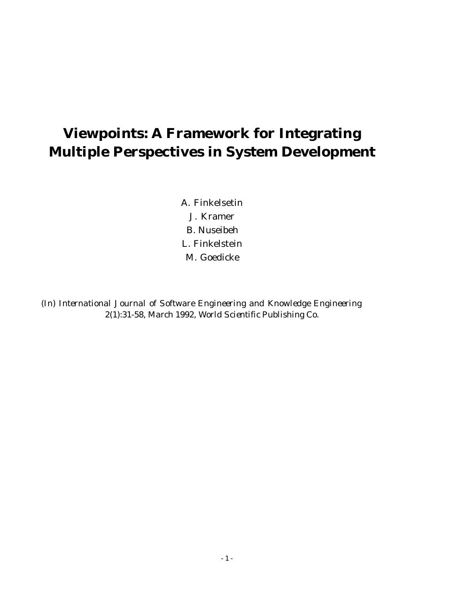# **Viewpoints: A Framework for Integrating Multiple Perspectives in System Development**

A. Finkelsetin J. Kramer B. Nuseibeh L. Finkelstein M. Goedicke

*(In) International Journal of Software Engineering and Knowledge Engineering 2(1):31-58, March 1992, World Scientific Publishing Co.*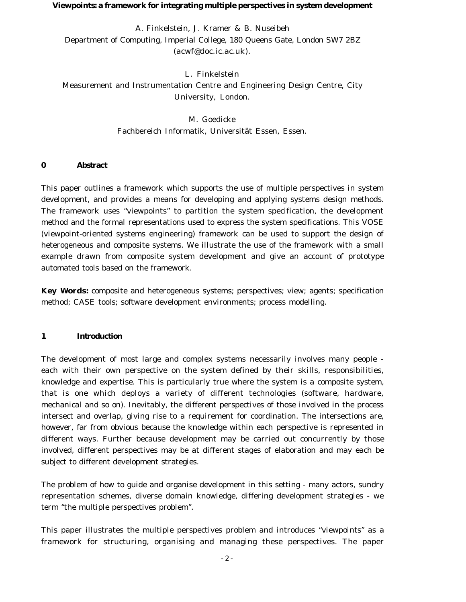#### **Viewpoints: a framework for integrating multiple perspectives in system development**

A. Finkelstein, J. Kramer & B. Nuseibeh Department of Computing, Imperial College, 180 Queens Gate, London SW7 2BZ (acwf@doc.ic.ac.uk).

L. Finkelstein Measurement and Instrumentation Centre and Engineering Design Centre, City University, London.

> M. Goedicke Fachbereich Informatik, Universität Essen, Essen.

## **0 Abstract**

This paper outlines a framework which supports the use of multiple perspectives in system development, and provides a means for developing and applying systems design methods. The framework uses "viewpoints" to partition the system specification, the development method and the formal representations used to express the system specifications. This VOSE (viewpoint-oriented systems engineering) framework can be used to support the design of heterogeneous and composite systems. We illustrate the use of the framework with a small example drawn from composite system development and give an account of prototype automated tools based on the framework.

**Key Words:** composite and heterogeneous systems; perspectives; view; agents; specification method; CASE tools; software development environments; process modelling.

## **1 Introduction**

The development of most large and complex systems necessarily involves many people each with their own perspective on the system defined by their skills, responsibilities, knowledge and expertise. This is particularly true where the system is a composite system, that is one which deploys a variety of different technologies (software, hardware, mechanical and so on). Inevitably, the different perspectives of those involved in the process intersect and overlap, giving rise to a requirement for coordination. The intersections are, however, far from obvious because the knowledge within each perspective is represented in different ways. Further because development may be carried out concurrently by those involved, different perspectives may be at different stages of elaboration and may each be subject to different development strategies.

The problem of how to guide and organise development in this setting - many actors, sundry representation schemes, diverse domain knowledge, differing development strategies - we term "the multiple perspectives problem".

This paper illustrates the multiple perspectives problem and introduces "viewpoints" as a framework for structuring, organising and managing these perspectives. The paper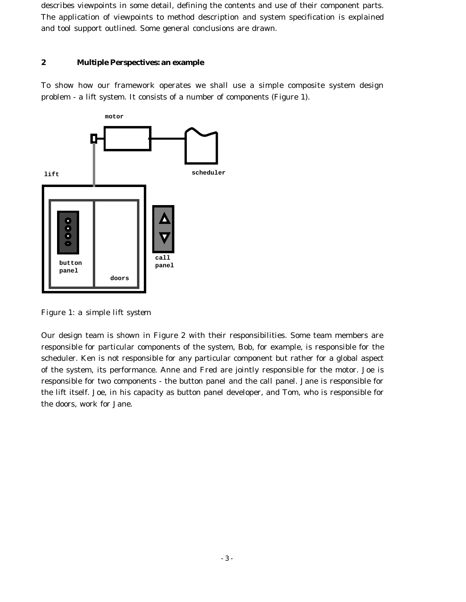describes viewpoints in some detail, defining the contents and use of their component parts. The application of viewpoints to method description and system specification is explained and tool support outlined. Some general conclusions are drawn.

## **2 Multiple Perspectives: an example**

To show how our framework operates we shall use a simple composite system design problem - a lift system. It consists of a number of components (Figure 1).



*Figure 1: a simple lift system*

Our design team is shown in Figure 2 with their responsibilities. Some team members are responsible for particular components of the system, Bob, for example, is responsible for the scheduler. Ken is not responsible for any particular component but rather for a global aspect of the system, its performance. Anne and Fred are jointly responsible for the motor. Joe is responsible for two components - the button panel and the call panel. Jane is responsible for the lift itself. Joe, in his capacity as button panel developer, and Tom, who is responsible for the doors, work for Jane.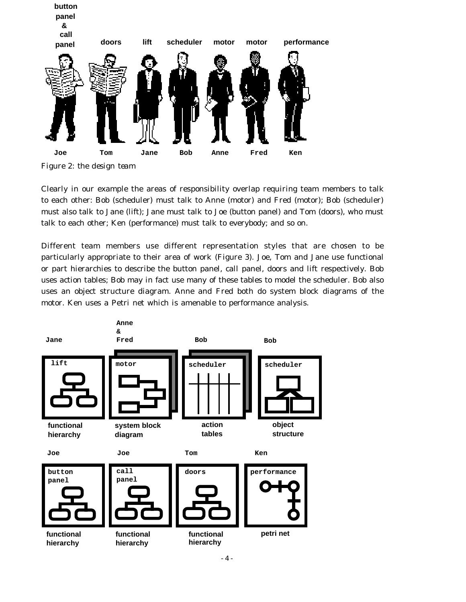

*Figure 2: the design team*

Clearly in our example the areas of responsibility overlap requiring team members to talk to each other: Bob (scheduler) must talk to Anne (motor) and Fred (motor); Bob (scheduler) must also talk to Jane (lift); Jane must talk to Joe (button panel) and Tom (doors), who must talk to each other; Ken (performance) must talk to everybody; and so on.

Different team members use different representation styles that are chosen to be particularly appropriate to their area of work (Figure 3). Joe, Tom and Jane use functional or part hierarchies to describe the button panel, call panel, doors and lift respectively. Bob uses action tables; Bob may in fact use many of these tables to model the scheduler. Bob also uses an object structure diagram. Anne and Fred both do system block diagrams of the motor. Ken uses a Petri net which is amenable to performance analysis.

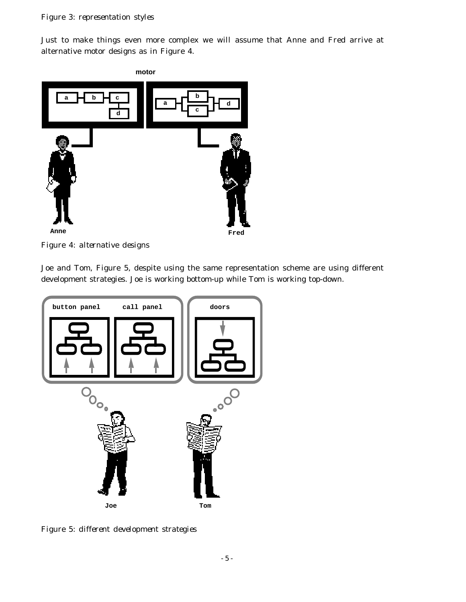Just to make things even more complex we will assume that Anne and Fred arrive at alternative motor designs as in Figure 4.



*Figure 4: alternative designs*

Joe and Tom, Figure 5, despite using the same representation scheme are using different development strategies. Joe is working bottom-up while Tom is working top-down.



*Figure 5: different development strategies*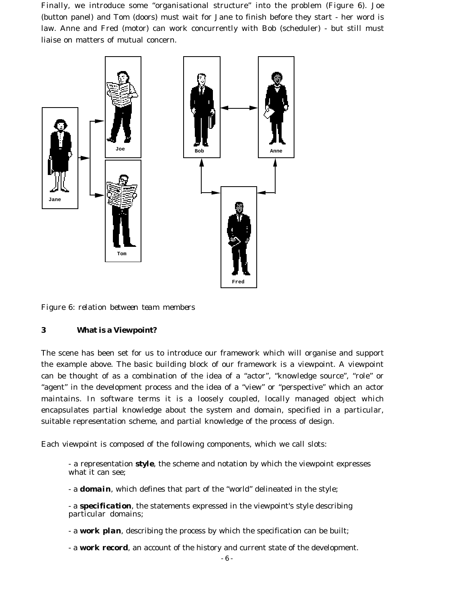Finally, we introduce some "organisational structure" into the problem (Figure 6). Joe (button panel) and Tom (doors) must wait for Jane to finish before they start - her word is law. Anne and Fred (motor) can work concurrently with Bob (scheduler) - but still must liaise on matters of mutual concern.



*Figure 6: relation between team members*

## **3 What is a Viewpoint?**

The scene has been set for us to introduce our framework which will organise and support the example above. The basic building block of our framework is a viewpoint. A viewpoint can be thought of as a combination of the idea of a "actor", "knowledge source", "role" or "agent" in the development process and the idea of a "view" or "perspective" which an actor maintains. In software terms it is a loosely coupled, locally managed object which encapsulates partial knowledge about the system and domain, specified in a particular, suitable representation scheme, and partial knowledge of the process of design.

Each viewpoint is composed of the following components, which we call slots:

- a representation *style*, the scheme and notation by which the viewpoint expresses what it can see;

- a *domain*, which defines that part of the "world" delineated in the style;

- a *specification*, the statements expressed in the viewpoint's style describing particular domains;

- a *work plan*, describing the process by which the specification can be built;

- a *work record*, an account of the history and current state of the development.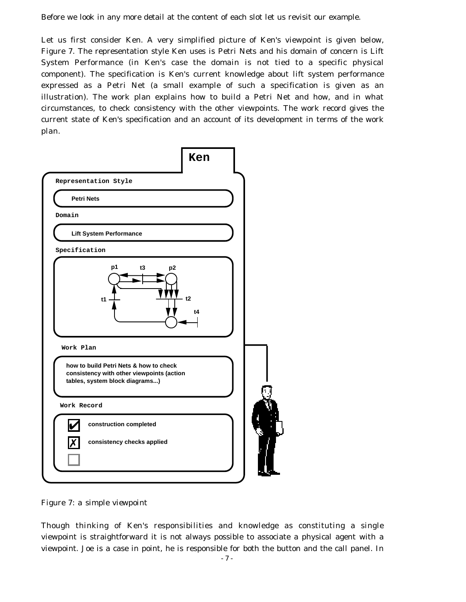Before we look in any more detail at the content of each slot let us revisit our example.

Let us first consider Ken. A very simplified picture of Ken's viewpoint is given below, Figure 7. The representation style Ken uses is Petri Nets and his domain of concern is Lift System Performance (in Ken's case the domain is not tied to a specific physical component). The specification is Ken's current knowledge about lift system performance expressed as a Petri Net (a small example of such a specification is given as an illustration). The work plan explains how to build a Petri Net and how, and in what circumstances, to check consistency with the other viewpoints. The work record gives the current state of Ken's specification and an account of its development in terms of the work plan.



*Figure 7: a simple viewpoint*

Though thinking of Ken's responsibilities and knowledge as constituting a single viewpoint is straightforward it is not always possible to associate a physical agent with a viewpoint. Joe is a case in point, he is responsible for both the button and the call panel. In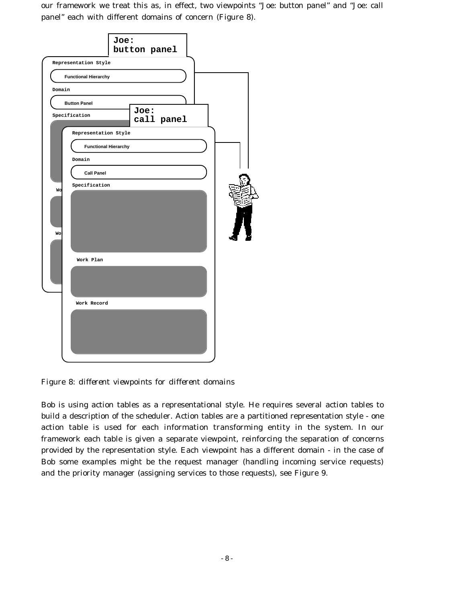our framework we treat this as, in effect, two viewpoints "Joe: button panel" and "Joe: call panel" each with different domains of concern (Figure 8).



*Figure 8: different viewpoints for different domains*

Bob is using action tables as a representational style. He requires several action tables to build a description of the scheduler. Action tables are a partitioned representation style - one action table is used for each information transforming entity in the system. In our framework each table is given a separate viewpoint, reinforcing the separation of concerns provided by the representation style. Each viewpoint has a different domain - in the case of Bob some examples might be the request manager (handling incoming service requests) and the priority manager (assigning services to those requests), see Figure 9.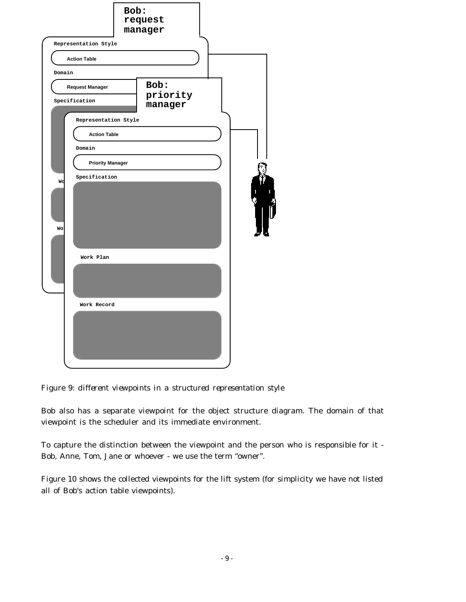| Representation Style                    | Bob:<br>request<br>manager  |  |
|-----------------------------------------|-----------------------------|--|
| <b>Action Table</b>                     |                             |  |
| Domain                                  |                             |  |
| <b>Request Manager</b><br>Specification | Bob:<br>priority<br>manager |  |
| Representation Style                    |                             |  |
| <b>Action Table</b>                     |                             |  |
| Domain                                  |                             |  |
| <b>Priority Manager</b>                 |                             |  |
| Specification<br>Wd                     |                             |  |
| Wo:                                     |                             |  |
| Work Plan                               |                             |  |
|                                         |                             |  |
| Work Record                             |                             |  |
|                                         |                             |  |

*Figure 9: different viewpoints in a structured representation style*

Bob also has a separate viewpoint for the object structure diagram. The domain of that viewpoint is the scheduler and its immediate environment.

To capture the distinction between the viewpoint and the person who is responsible for it - Bob, Anne, Tom, Jane or whoever - we use the term "owner".

Figure 10 shows the collected viewpoints for the lift system (for simplicity we have not listed all of Bob's action table viewpoints).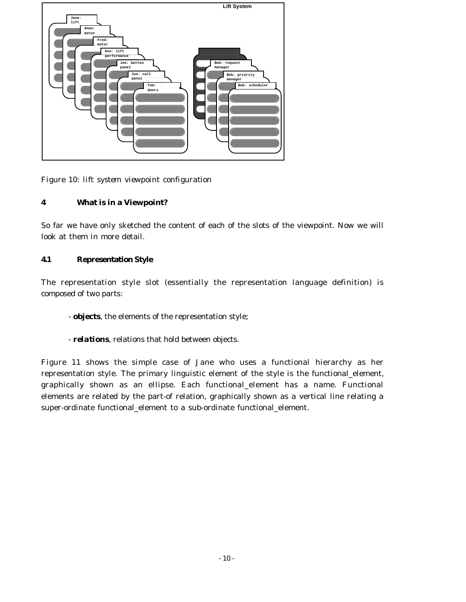

*Figure 10: lift system viewpoint configuration*

# **4 What is in a Viewpoint?**

So far we have only sketched the content of each of the slots of the viewpoint. Now we will look at them in more detail.

# **4.1 Representation Style**

The representation style slot (essentially the representation language definition) is composed of two parts:

- *objects*, the elements of the representation style;
- *relations*, relations that hold between objects.

Figure 11 shows the simple case of Jane who uses a functional hierarchy as her representation style. The primary linguistic element of the style is the functional\_element, graphically shown as an ellipse. Each functional\_element has a name. Functional elements are related by the part-of relation, graphically shown as a vertical line relating a super-ordinate functional\_element to a sub-ordinate functional\_element.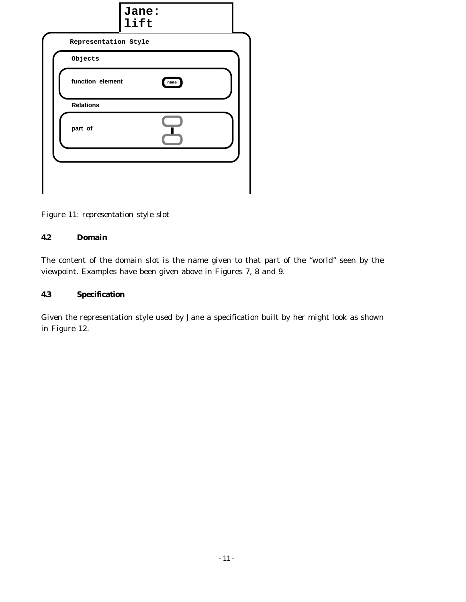| Jane:<br>lift            |  |
|--------------------------|--|
| Representation Style     |  |
| Objects                  |  |
| function_element<br>name |  |
| <b>Relations</b>         |  |
| part_of                  |  |
|                          |  |
|                          |  |
|                          |  |

*Figure 11: representation style slot*

## **4.2 Domain**

The content of the domain slot is the name given to that part of the "world" seen by the viewpoint. Examples have been given above in Figures 7, 8 and 9.

# **4.3 Specification**

Given the representation style used by Jane a specification built by her might look as shown in Figure 12.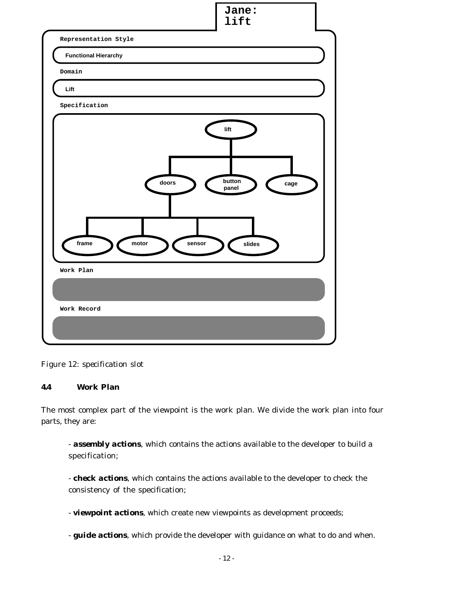

*Figure 12: specification slot*

# **4.4 Work Plan**

The most complex part of the viewpoint is the work plan. We divide the work plan into four parts, they are:

- *assembly actions*, which contains the actions available to the developer to build a specification;

- *check actions*, which contains the actions available to the developer to check the consistency of the specification;

- *viewpoint actions*, which create new viewpoints as development proceeds;

- *guide actions*, which provide the developer with guidance on what to do and when.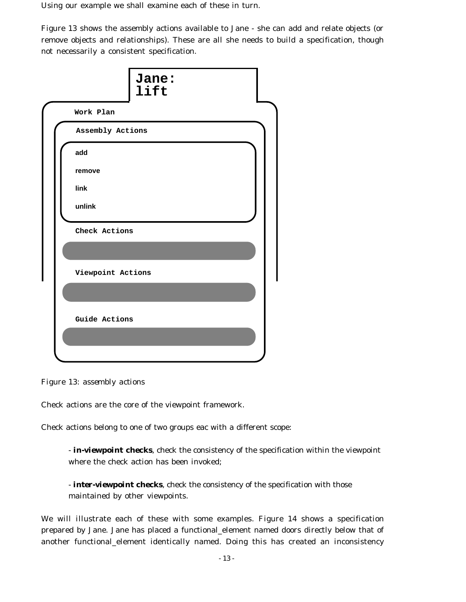Using our example we shall examine each of these in turn.

Figure 13 shows the assembly actions available to Jane - she can add and relate objects (or remove objects and relationships). These are all she needs to build a specification, though not necessarily a consistent specification.

| Jane:<br>lift     |
|-------------------|
| Work Plan         |
| Assembly Actions  |
| add               |
| remove            |
| link              |
| unlink            |
| Check Actions     |
|                   |
| Viewpoint Actions |
|                   |
| Guide Actions     |
|                   |
|                   |

*Figure 13: assembly actions*

Check actions are the core of the viewpoint framework.

Check actions belong to one of two groups eac with a different scope:

- *in-viewpoint checks*, check the consistency of the specification within the viewpoint where the check action has been invoked;

- *inter-viewpoint checks*, check the consistency of the specification with those maintained by other viewpoints.

We will illustrate each of these with some examples. Figure 14 shows a specification prepared by Jane. Jane has placed a functional\_element named doors directly below that of another functional\_element identically named. Doing this has created an inconsistency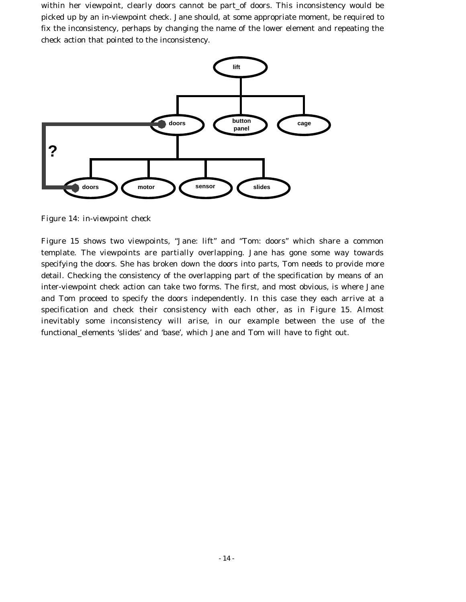within her viewpoint, clearly doors cannot be part\_of doors. This inconsistency would be picked up by an in-viewpoint check. Jane should, at some appropriate moment, be required to fix the inconsistency, perhaps by changing the name of the lower element and repeating the check action that pointed to the inconsistency.



*Figure 14: in-viewpoint check*

Figure 15 shows two viewpoints, "Jane: lift" and "Tom: doors" which share a common template. The viewpoints are partially overlapping. Jane has gone some way towards specifying the doors. She has broken down the doors into parts, Tom needs to provide more detail. Checking the consistency of the overlapping part of the specification by means of an inter-viewpoint check action can take two forms. The first, and most obvious, is where Jane and Tom proceed to specify the doors independently. In this case they each arrive at a specification and check their consistency with each other, as in Figure 15. Almost inevitably some inconsistency will arise, in our example between the use of the functional\_elements 'slides' and 'base', which Jane and Tom will have to fight out.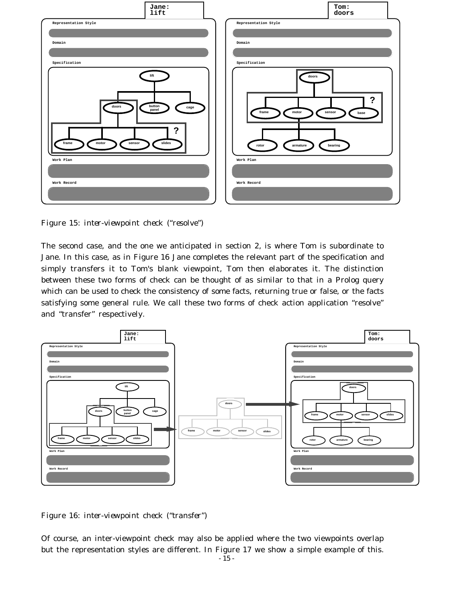

*Figure 15: inter-viewpoint check ("resolve")*

The second case, and the one we anticipated in section 2, is where Tom is subordinate to Jane. In this case, as in Figure 16 Jane completes the relevant part of the specification and simply transfers it to Tom's blank viewpoint, Tom then elaborates it. The distinction between these two forms of check can be thought of as similar to that in a Prolog query which can be used to check the consistency of some facts, returning true or false, or the facts satisfying some general rule. We call these two forms of check action application "resolve" and "transfer" respectively.



*Figure 16: inter-viewpoint check ("transfer")*

Of course, an inter-viewpoint check may also be applied where the two viewpoints overlap but the representation styles are different. In Figure 17 we show a simple example of this.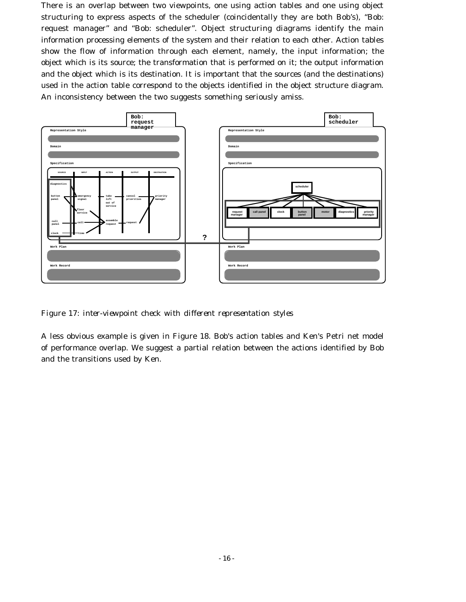There is an overlap between two viewpoints, one using action tables and one using object structuring to express aspects of the scheduler (coincidentally they are both Bob's), "Bob: request manager" and "Bob: scheduler". Object structuring diagrams identify the main information processing elements of the system and their relation to each other. Action tables show the flow of information through each element, namely, the input information; the object which is its source; the transformation that is performed on it; the output information and the object which is its destination. It is important that the sources (and the destinations) used in the action table correspond to the objects identified in the object structure diagram. An inconsistency between the two suggests something seriously amiss.



*Figure 17: inter-viewpoint check with different representation styles*

A less obvious example is given in Figure 18. Bob's action tables and Ken's Petri net model of performance overlap. We suggest a partial relation between the actions identified by Bob and the transitions used by Ken.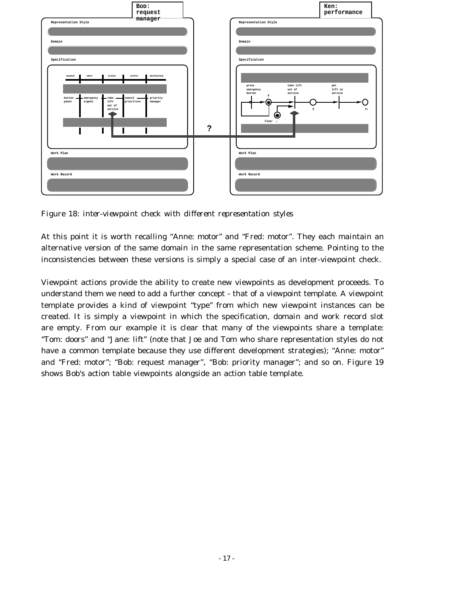

*Figure 18: inter-viewpoint check with different representation styles*

At this point it is worth recalling "Anne: motor" and "Fred: motor". They each maintain an alternative version of the same domain in the same representation scheme. Pointing to the inconsistencies between these versions is simply a special case of an inter-viewpoint check.

Viewpoint actions provide the ability to create new viewpoints as development proceeds. To understand them we need to add a further concept - that of a viewpoint template. A viewpoint template provides a kind of viewpoint "type" from which new viewpoint instances can be created. It is simply a viewpoint in which the specification, domain and work record slot are empty. From our example it is clear that many of the viewpoints share a template: "Tom: doors" and "Jane: lift" (note that Joe and Tom who share representation styles do not have a common template because they use different development strategies); "Anne: motor" and "Fred: motor"; "Bob: request manager", "Bob: priority manager"; and so on. Figure 19 shows Bob's action table viewpoints alongside an action table template.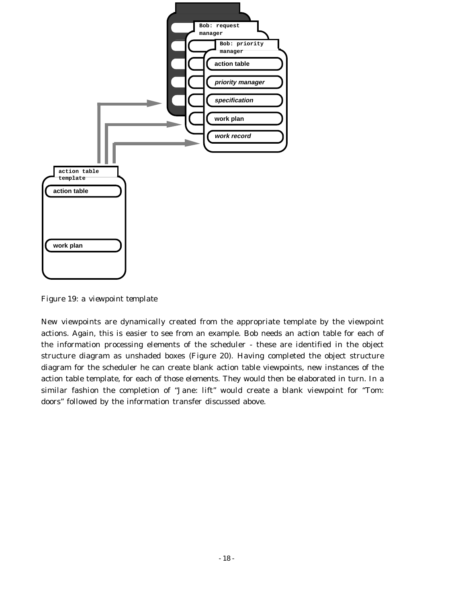

*Figure 19: a viewpoint template*

New viewpoints are dynamically created from the appropriate template by the viewpoint actions. Again, this is easier to see from an example. Bob needs an action table for each of the information processing elements of the scheduler - these are identified in the object structure diagram as unshaded boxes (Figure 20). Having completed the object structure diagram for the scheduler he can create blank action table viewpoints, new instances of the action table template, for each of those elements. They would then be elaborated in turn. In a similar fashion the completion of "Jane: lift" would create a blank viewpoint for "Tom: doors" followed by the information transfer discussed above.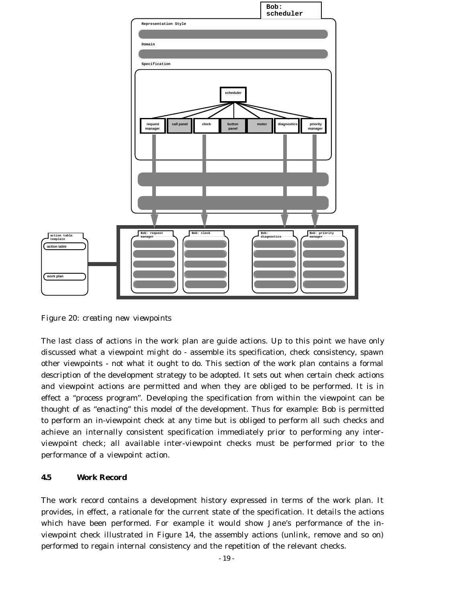

*Figure 20: creating new viewpoints*

The last class of actions in the work plan are guide actions. Up to this point we have only discussed what a viewpoint *might* do - assemble its specification, check consistency, spawn other viewpoints - not what it *ought* to do. This section of the work plan contains a formal description of the development strategy to be adopted. It sets out when certain check actions and viewpoint actions are permitted and when they are obliged to be performed. It is in effect a "process program". Developing the specification from within the viewpoint can be thought of as "enacting" this model of the development. Thus for example: Bob is permitted to perform an in-viewpoint check at any time but is obliged to perform all such checks and achieve an internally consistent specification immediately prior to performing any interviewpoint check; all available inter-viewpoint checks must be performed prior to the performance of a viewpoint action.

## **4.5 Work Record**

The work record contains a development history expressed in terms of the work plan. It provides, in effect, a rationale for the current state of the specification. It details the actions which have been performed. For example it would show Jane's performance of the inviewpoint check illustrated in Figure 14, the assembly actions (unlink, remove and so on) performed to regain internal consistency and the repetition of the relevant checks.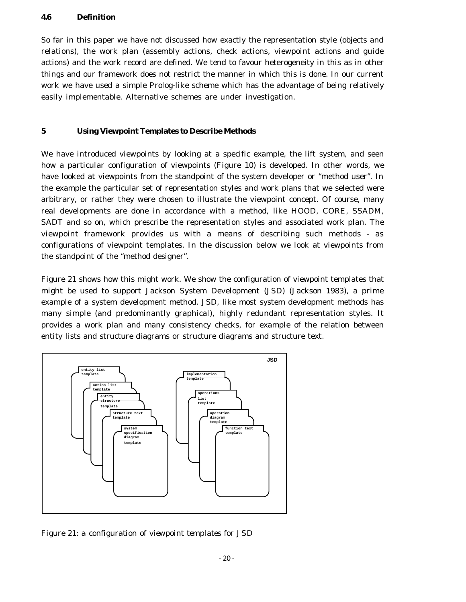## **4.6 Definition**

So far in this paper we have not discussed how exactly the representation style (objects and relations), the work plan (assembly actions, check actions, viewpoint actions and guide actions) and the work record are defined. We tend to favour heterogeneity in this as in other things and our framework does not restrict the manner in which this is done. In our current work we have used a simple Prolog-like scheme which has the advantage of being relatively easily implementable. Alternative schemes are under investigation.

## **5 Using Viewpoint Templates to Describe Methods**

We have introduced viewpoints by looking at a specific example, the lift system, and seen how a particular configuration of viewpoints (Figure 10) is developed. In other words, we have looked at viewpoints from the standpoint of the system developer or "method user". In the example the particular set of representation styles and work plans that we selected were arbitrary, or rather they were chosen to illustrate the viewpoint concept. Of course, many real developments are done in accordance with a method, like HOOD, CORE, SSADM, SADT and so on, which prescribe the representation styles and associated work plan. The viewpoint framework provides us with a means of describing such methods - as configurations of viewpoint templates. In the discussion below we look at viewpoints from the standpoint of the "method designer".

Figure 21 shows how this might work. We show the configuration of viewpoint templates that might be used to support Jackson System Development (JSD) (Jackson 1983), a prime example of a system development method. JSD, like most system development methods has many simple (and predominantly graphical), highly redundant representation styles. It provides a work plan and many consistency checks, for example of the relation between entity lists and structure diagrams or structure diagrams and structure text.



*Figure 21: a configuration of viewpoint templates for JSD*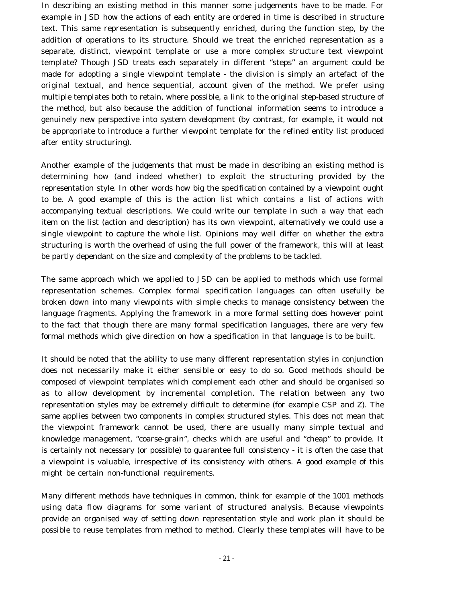In describing an existing method in this manner some judgements have to be made. For example in JSD how the actions of each entity are ordered in time is described in structure text. This same representation is subsequently enriched, during the function step, by the addition of operations to its structure. Should we treat the enriched representation as a separate, distinct, viewpoint template or use a more complex structure text viewpoint template? Though JSD treats each separately in different "steps" an argument could be made for adopting a single viewpoint template - the division is simply an artefact of the original textual, and hence sequential, account given of the method. We prefer using multiple templates both to retain, where possible, a link to the original step-based structure of the method, but also because the addition of functional information seems to introduce a genuinely new perspective into system development (by contrast, for example, it would not be appropriate to introduce a further viewpoint template for the refined entity list produced after entity structuring).

Another example of the judgements that must be made in describing an existing method is determining how (and indeed whether) to exploit the structuring provided by the representation style. In other words how big the specification contained by a viewpoint ought to be. A good example of this is the action list which contains a list of actions with accompanying textual descriptions. We could write our template in such a way that each item on the list (action and description) has its own viewpoint, alternatively we could use a single viewpoint to capture the whole list. Opinions may well differ on whether the extra structuring is worth the overhead of using the full power of the framework, this will at least be partly dependant on the size and complexity of the problems to be tackled.

The same approach which we applied to JSD can be applied to methods which use formal representation schemes. Complex formal specification languages can often usefully be broken down into many viewpoints with simple checks to manage consistency between the language fragments. Applying the framework in a more formal setting does however point to the fact that though there are many formal specification languages, there are very few formal methods which give direction on how a specification in that language is to be built.

It should be noted that the ability to use many different representation styles in conjunction does not necessarily make it either sensible or easy to do so. Good methods should be composed of viewpoint templates which complement each other and should be organised so as to allow development by incremental completion. The relation between any two representation styles may be extremely difficult to determine (for example CSP and Z). The same applies between two components in complex structured styles. This does not mean that the viewpoint framework cannot be used, there are usually many simple textual and knowledge management, "coarse-grain", checks which are useful and "cheap" to provide. It is certainly not necessary (or possible) to guarantee full consistency - it is often the case that a viewpoint is valuable, irrespective of its consistency with others. A good example of this might be certain non-functional requirements.

Many different methods have techniques in common, think for example of the 1001 methods using data flow diagrams for some variant of structured analysis. Because viewpoints provide an organised way of setting down representation style and work plan it should be possible to reuse templates from method to method. Clearly these templates will have to be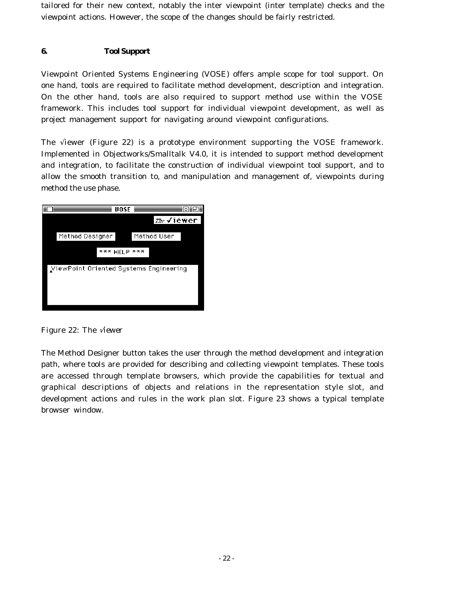tailored for their new context, notably the inter viewpoint (inter template) checks and the viewpoint actions. However, the scope of the changes should be fairly restricted.

# **6. Tool Support**

Viewpoint Oriented Systems Engineering (VOSE) offers ample scope for tool support. On one hand, tools are required to facilitate method development, description and integration. On the other hand, tools are also required to support method use within the VOSE framework. This includes tool support for individual viewpoint development, as well as project management support for navigating around viewpoint configurations.

The √iewer (Figure 22) is a prototype environment supporting the VOSE framework. Implemented in Objectworks/Smalltalk V4.0, it is intended to support method development and integration, to facilitate the construction of individual viewpoint tool support, and to allow the smooth transition to, and manipulation and management of, viewpoints during method the use phase.



*Figure 22: The* √*iewer*

The Method Designer button takes the user through the method development and integration path, where tools are provided for describing and collecting viewpoint templates. These tools are accessed through template browsers, which provide the capabilities for textual and graphical descriptions of objects and relations in the representation style slot, and development actions and rules in the work plan slot. Figure 23 shows a typical template browser window.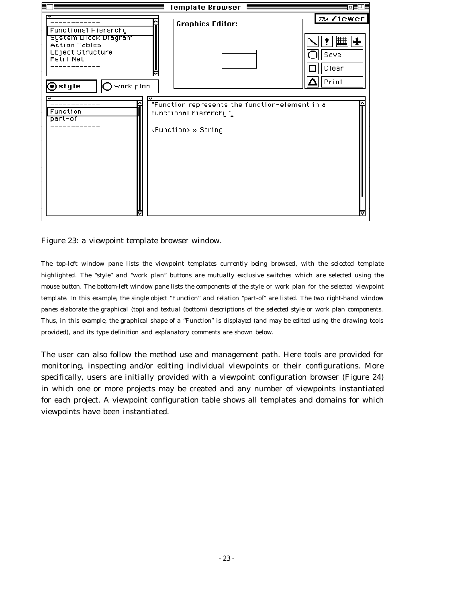

*Figure 23: a viewpoint template browser window.*

*The top-left window pane lists the viewpoint templates currently being browsed, with the selected template highlighted. The "style" and "work plan" buttons are mutually exclusive switches which are selected using the mouse button. The bottom-left window pane lists the components of the style or work plan for the selected viewpoint template. In this example, the single object "Function" and relation "part-of" are listed. The two right-hand window panes elaborate the graphical (top) and textual (bottom) descriptions of the selected style or work plan components. Thus, in this example, the graphical shape of a "Function" is displayed (and may be edited using the drawing tools provided), and its type definition and explanatory comments are shown below.*

The user can also follow the method use and management path. Here tools are provided for monitoring, inspecting and/or editing individual viewpoints or their configurations. More specifically, users are initially provided with a viewpoint configuration browser (Figure 24) in which one or more projects may be created and any number of viewpoints instantiated for each project. A viewpoint configuration table shows all templates and domains for which viewpoints have been instantiated.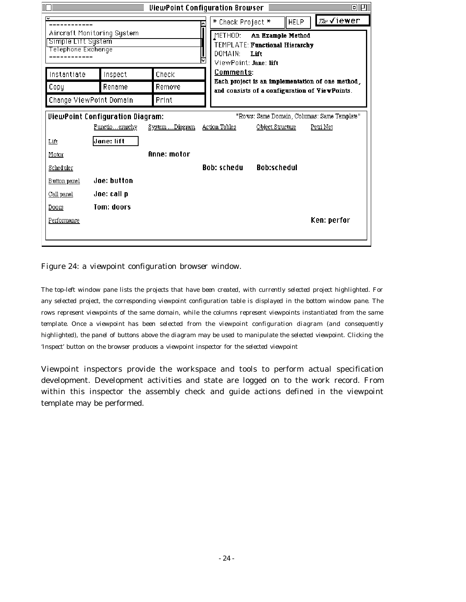| ViewPoint Configuration Browser<br>同評唱                                                 |                                  |                |                    |                                                                                                    |                  |  |  |  |
|----------------------------------------------------------------------------------------|----------------------------------|----------------|--------------------|----------------------------------------------------------------------------------------------------|------------------|--|--|--|
| ₹                                                                                      |                                  |                | * Check Project *  | <b>HELP</b>                                                                                        | <i>™</i> ∉√iewer |  |  |  |
| Aircraft Monitoring System<br>Simple Lift System<br>Telephone Exchange                 |                                  |                | METHOD:            | An Example Method<br>TEMPLATE: Functional Hierarchy<br>DOMAIN:<br>Lift<br>ViewPoint: Jane: lift    |                  |  |  |  |
|                                                                                        |                                  |                |                    |                                                                                                    |                  |  |  |  |
| Instantiate                                                                            | Inspect                          | Check          | <b>Comments:</b>   |                                                                                                    |                  |  |  |  |
| Copy                                                                                   | Rename                           | Remove         |                    | Each project is an implementation of one method,<br>and consists of a configuration of ViewPoints. |                  |  |  |  |
|                                                                                        | Change ViewPoint Domain<br>Print |                |                    |                                                                                                    |                  |  |  |  |
| <b>ViewPoint Configuration Diagram:</b><br>"Rows: Same Domain, Columns: Same Template" |                                  |                |                    |                                                                                                    |                  |  |  |  |
|                                                                                        | Functioerarchy                   | System Diagram | Action Tables      | Object Structure                                                                                   | Petri Net        |  |  |  |
| Lift                                                                                   | Jane: lift                       |                |                    |                                                                                                    |                  |  |  |  |
| Motor                                                                                  |                                  | Anne: motor    |                    |                                                                                                    |                  |  |  |  |
| Scheduler                                                                              |                                  |                | <b>Bob: schedu</b> | <b>Rob:schedul</b>                                                                                 |                  |  |  |  |
| Button panel                                                                           | Joe: button                      |                |                    |                                                                                                    |                  |  |  |  |
| Call panel                                                                             | Joe: call p                      |                |                    |                                                                                                    |                  |  |  |  |
| Doors                                                                                  | Tom: doors                       |                |                    |                                                                                                    |                  |  |  |  |
| Performance                                                                            |                                  |                |                    |                                                                                                    | Ken: perfor      |  |  |  |
|                                                                                        |                                  |                |                    |                                                                                                    |                  |  |  |  |

*Figure 24: a viewpoint configuration browser window.*

*The top-left window pane lists the projects that have been created, with currently selected project highlighted. For any selected project, the corresponding viewpoint configuration table is displayed in the bottom window pane. The rows represent viewpoints of the same domain, while the columns represent viewpoints instantiated from the same template. Once a viewpoint has been selected from the viewpoint configuration diagram (and consequently highlighted), the panel of buttons above the diagram may be used to manipulate the selected viewpoint. Clicking the 'Inspect' button on the browser produces a viewpoint inspector for the selected viewpoint*

Viewpoint inspectors provide the workspace and tools to perform actual specification development. Development activities and state are logged on to the work record. From within this inspector the assembly check and guide actions defined in the viewpoint template may be performed.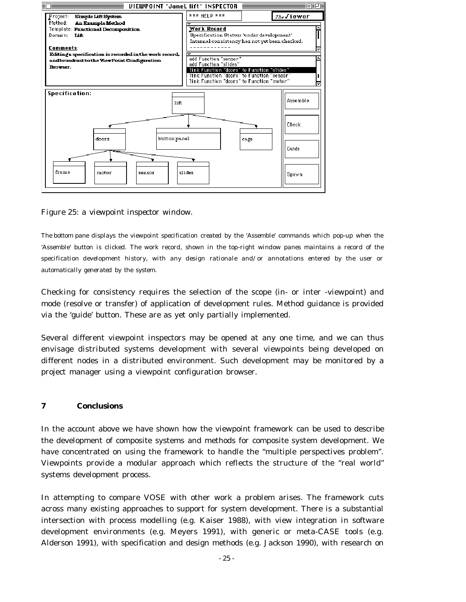

*Figure 25: a viewpoint inspector window.*

*The bottom pane displays the viewpoint specification created by the 'Assemble' commands which pop-up when the 'Assemble' button is clicked. The work record, shown in the top-right window panes maintains a record of the specification development history, with any design rationale and/or annotations entered by the user or automatically generated by the system.*

Checking for consistency requires the selection of the scope (in- or inter -viewpoint) and mode (resolve or transfer) of application of development rules. Method guidance is provided via the 'guide' button. These are as yet only partially implemented.

Several different viewpoint inspectors may be opened at any one time, and we can thus envisage distributed systems development with several viewpoints being developed on different nodes in a distributed environment. Such development may be monitored by a project manager using a viewpoint configuration browser.

## **7 Conclusions**

In the account above we have shown how the viewpoint framework can be used to describe the development of composite systems and methods for composite system development. We have concentrated on using the framework to handle the "multiple perspectives problem". Viewpoints provide a modular approach which reflects the structure of the "real world" systems development process.

In attempting to compare VOSE with other work a problem arises. The framework cuts across many existing approaches to support for system development. There is a substantial intersection with process modelling (e.g. Kaiser 1988), with view integration in software development environments (e.g. Meyers 1991), with generic or meta-CASE tools (e.g. Alderson 1991), with specification and design methods (e.g. Jackson 1990), with research on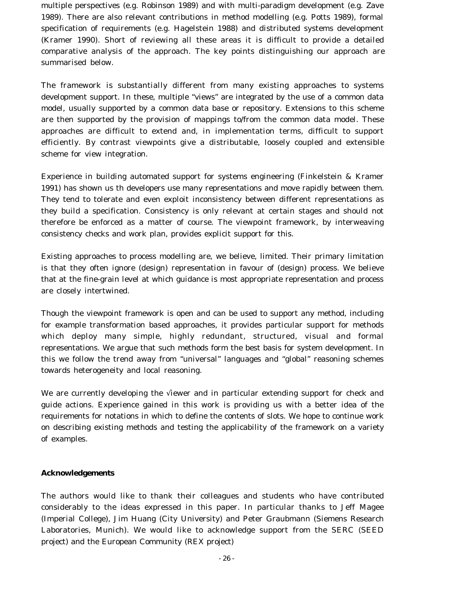multiple perspectives (e.g. Robinson 1989) and with multi-paradigm development (e.g. Zave 1989). There are also relevant contributions in method modelling (e.g. Potts 1989), formal specification of requirements (e.g. Hagelstein 1988) and distributed systems development (Kramer 1990). Short of reviewing all these areas it is difficult to provide a detailed comparative analysis of the approach. The key points distinguishing our approach are summarised below.

The framework is substantially different from many existing approaches to systems development support. In these, multiple "views" are integrated by the use of a common data model, usually supported by a common data base or repository. Extensions to this scheme are then supported by the provision of mappings to/from the common data model. These approaches are difficult to extend and, in implementation terms, difficult to support efficiently. By contrast viewpoints give a distributable, loosely coupled and extensible scheme for view integration.

Experience in building automated support for systems engineering (Finkelstein & Kramer 1991) has shown us th developers use many representations and move rapidly between them. They tend to tolerate and even exploit inconsistency between different representations as they build a specification. Consistency is only relevant at certain stages and should not therefore be enforced as a matter of course. The viewpoint framework, by interweaving consistency checks and work plan, provides explicit support for this.

Existing approaches to process modelling are, we believe, limited. Their primary limitation is that they often ignore (design) representation in favour of (design) process. We believe that at the fine-grain level at which guidance is most appropriate representation and process are closely intertwined.

Though the viewpoint framework is open and can be used to support any method, including for example transformation based approaches, it provides particular support for methods which deploy many simple, highly redundant, structured, visual and formal representations. We argue that such methods form the best basis for system development. In this we follow the trend away from "universal" languages and "global" reasoning schemes towards heterogeneity and local reasoning.

We are currently developing the √iewer and in particular extending support for check and guide actions. Experience gained in this work is providing us with a better idea of the requirements for notations in which to define the contents of slots. We hope to continue work on describing existing methods and testing the applicability of the framework on a variety of examples.

## **Acknowledgements**

The authors would like to thank their colleagues and students who have contributed considerably to the ideas expressed in this paper. In particular thanks to Jeff Magee (Imperial College), Jim Huang (City University) and Peter Graubmann (Siemens Research Laboratories, Munich). We would like to acknowledge support from the SERC (SEED project) and the European Community (REX project)